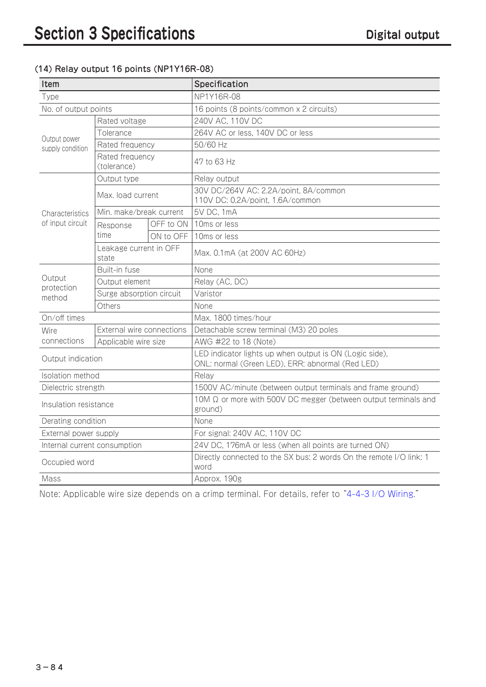## (14) Relay output 16 points (NP1Y16R-08)

| Item                                       |                                 |           | Specification                                                                                               |
|--------------------------------------------|---------------------------------|-----------|-------------------------------------------------------------------------------------------------------------|
| Type                                       |                                 |           | NP1Y16R-08                                                                                                  |
| No. of output points                       |                                 |           | 16 points (8 points/common x 2 circuits)                                                                    |
| Output power<br>supply condition           | Rated voltage                   |           | 240V AC, 110V DC                                                                                            |
|                                            | Tolerance                       |           | 264V AC or less, 140V DC or less                                                                            |
|                                            | Rated frequency                 |           | 50/60 Hz                                                                                                    |
|                                            | Rated frequency<br>(tolerance)  |           | 47 to 63 Hz                                                                                                 |
| <b>Characteristics</b><br>of input circuit | Output type                     |           | Relay output                                                                                                |
|                                            | Max. load current               |           | 30V DC/264V AC: 2.2A/point, 8A/common<br>110V DC: 0.2A/point, 1.6A/common                                   |
|                                            | Min. make/break current         |           | 5V DC, 1mA                                                                                                  |
|                                            | Response<br>time                | OFF to ON | 10ms or less                                                                                                |
|                                            |                                 | ON to OFF | 10ms or less                                                                                                |
|                                            | Leakage current in OFF<br>state |           | Max. 0.1mA (at 200V AC 60Hz)                                                                                |
| Output<br>protection<br>method             | Built-in fuse                   |           | None                                                                                                        |
|                                            | Output element                  |           | Relay (AC, DC)                                                                                              |
|                                            | Surge absorption circuit        |           | Varistor                                                                                                    |
|                                            | Others                          |           | None                                                                                                        |
| On/off times                               |                                 |           | Max. 1800 times/hour                                                                                        |
| <b>Wire</b><br>connections                 | External wire connections       |           | Detachable screw terminal (M3) 20 poles                                                                     |
|                                            | Applicable wire size            |           | AWG #22 to 18 (Note)                                                                                        |
| Output indication                          |                                 |           | LED indicator lights up when output is ON (Logic side),<br>ONL: normal (Green LED), ERR: abnormal (Red LED) |
| Isolation method                           |                                 |           | Relay                                                                                                       |
| Dielectric strength                        |                                 |           | 1500V AC/minute (between output terminals and frame ground)                                                 |
| Insulation resistance                      |                                 |           | 10M $\Omega$ or more with 500V DC megger (between output terminals and<br>ground)                           |
| Derating condition                         |                                 |           | None                                                                                                        |
| External power supply                      |                                 |           | For signal: 240V AC, 110V DC                                                                                |
| Internal current consumption               |                                 |           | 24V DC, 176mA or less (when all points are turned ON)                                                       |
| Occupied word                              |                                 |           | Directly connected to the SX bus: 2 words On the remote I/O link: 1<br>word                                 |
| Mass                                       |                                 |           | Approx. 190g                                                                                                |

Note: Applicable wire size depends on a crimp terminal. For details, refer to "4-4-3 I/O Wiring."